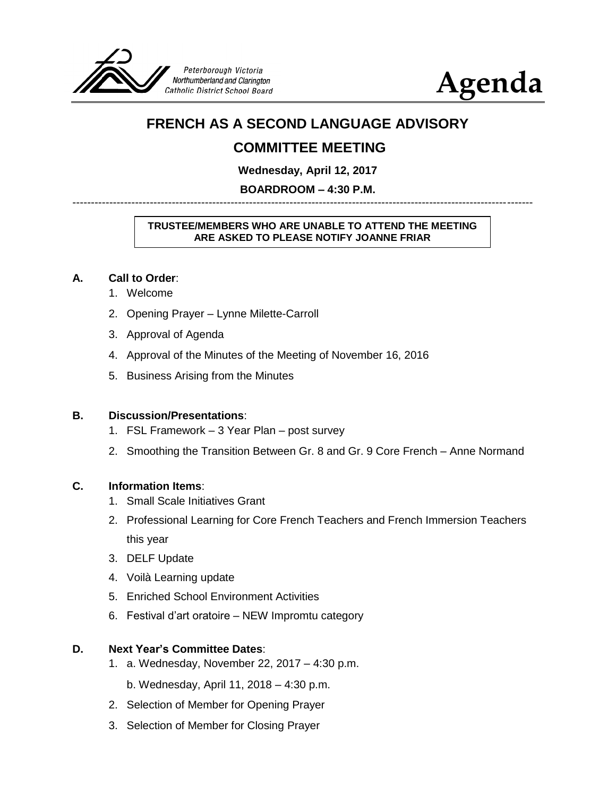

# **Agenda**

# **FRENCH AS A SECOND LANGUAGE ADVISORY**

# **COMMITTEE MEETING**

**Wednesday, April 12, 2017**

**BOARDROOM – 4:30 P.M.** -----------------------------------------------------------------------------------------------------------------------------

#### **TRUSTEE/MEMBERS WHO ARE UNABLE TO ATTEND THE MEETING ARE ASKED TO PLEASE NOTIFY JOANNE FRIAR**

## **A. Call to Order**:

- 1. Welcome
- 2. Opening Prayer Lynne Milette-Carroll
- 3. Approval of Agenda
- 4. Approval of the Minutes of the Meeting of November 16, 2016
- 5. Business Arising from the Minutes

## **B. Discussion/Presentations**:

- 1. FSL Framework 3 Year Plan post survey
- 2. Smoothing the Transition Between Gr. 8 and Gr. 9 Core French Anne Normand

## **C. Information Items**:

- 1. Small Scale Initiatives Grant
- 2. Professional Learning for Core French Teachers and French Immersion Teachers this year
- 3. DELF Update
- 4. Voilà Learning update
- 5. Enriched School Environment Activities
- 6. Festival d'art oratoire NEW Impromtu category

## **D. Next Year's Committee Dates**:

- 1. a. Wednesday, November 22, 2017 4:30 p.m.
	- b. Wednesday, April 11, 2018 4:30 p.m.
- 2. Selection of Member for Opening Prayer
- 3. Selection of Member for Closing Prayer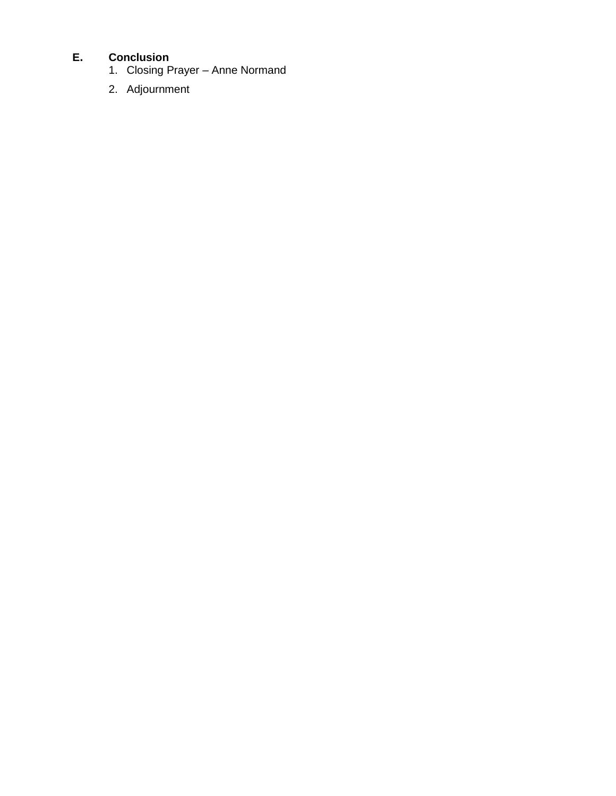# **E. Conclusion**

- 1. Closing Prayer Anne Normand
- 2. Adjournment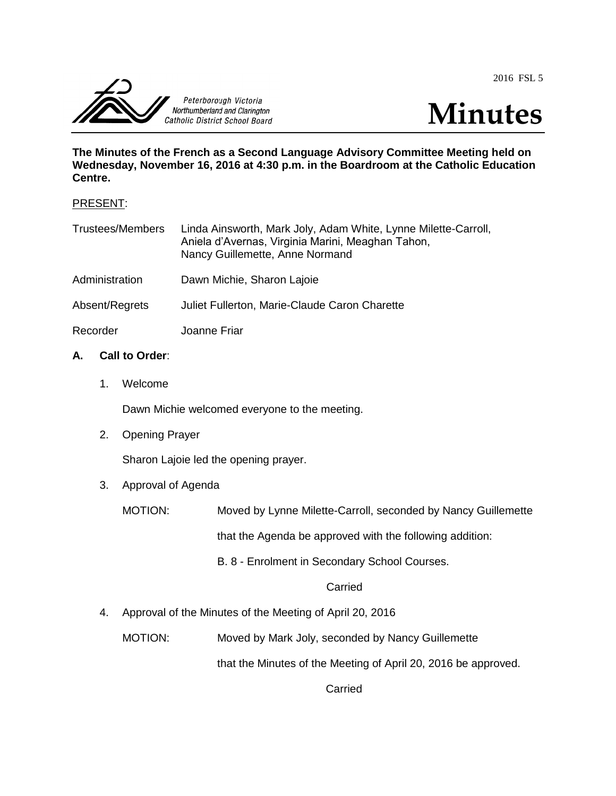2016 FSL 5





**The Minutes of the French as a Second Language Advisory Committee Meeting held on Wednesday, November 16, 2016 at 4:30 p.m. in the Boardroom at the Catholic Education Centre.**

#### PRESENT:

| <b>Trustees/Members</b> | Linda Ainsworth, Mark Joly, Adam White, Lynne Milette-Carroll,<br>Aniela d'Avernas, Virginia Marini, Meaghan Tahon,<br>Nancy Guillemette, Anne Normand |
|-------------------------|--------------------------------------------------------------------------------------------------------------------------------------------------------|
| Administration          | Dawn Michie, Sharon Lajoie                                                                                                                             |
| Absent/Regrets          | Juliet Fullerton, Marie-Claude Caron Charette                                                                                                          |
| Recorder                | Joanne Friar                                                                                                                                           |

## **A. Call to Order**:

1. Welcome

Dawn Michie welcomed everyone to the meeting.

2. Opening Prayer

Sharon Lajoie led the opening prayer.

3. Approval of Agenda

MOTION: Moved by Lynne Milette-Carroll, seconded by Nancy Guillemette

that the Agenda be approved with the following addition:

B. 8 - Enrolment in Secondary School Courses.

**Carried** 

4. Approval of the Minutes of the Meeting of April 20, 2016

MOTION: Moved by Mark Joly, seconded by Nancy Guillemette

that the Minutes of the Meeting of April 20, 2016 be approved.

**Carried**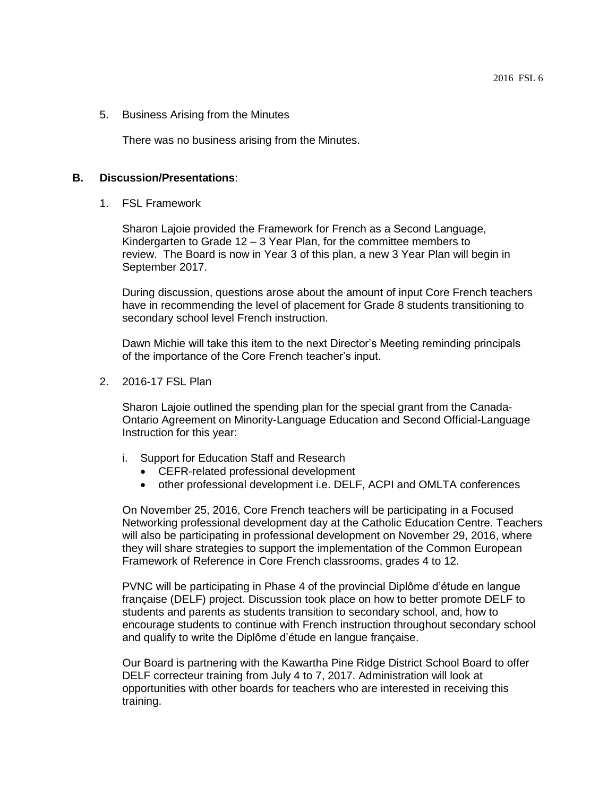#### 5. Business Arising from the Minutes

There was no business arising from the Minutes.

#### **B. Discussion/Presentations**:

1. FSL Framework

Sharon Lajoie provided the Framework for French as a Second Language, Kindergarten to Grade 12 – 3 Year Plan, for the committee members to review. The Board is now in Year 3 of this plan, a new 3 Year Plan will begin in September 2017.

During discussion, questions arose about the amount of input Core French teachers have in recommending the level of placement for Grade 8 students transitioning to secondary school level French instruction.

Dawn Michie will take this item to the next Director's Meeting reminding principals of the importance of the Core French teacher's input.

2. 2016-17 FSL Plan

Sharon Lajoie outlined the spending plan for the special grant from the Canada-Ontario Agreement on Minority-Language Education and Second Official-Language Instruction for this year:

- i. Support for Education Staff and Research
	- CEFR-related professional development
	- other professional development i.e. DELF, ACPI and OMLTA conferences

On November 25, 2016, Core French teachers will be participating in a Focused Networking professional development day at the Catholic Education Centre. Teachers will also be participating in professional development on November 29, 2016, where they will share strategies to support the implementation of the Common European Framework of Reference in Core French classrooms, grades 4 to 12.

PVNC will be participating in Phase 4 of the provincial Diplôme d'étude en langue française (DELF) project. Discussion took place on how to better promote DELF to students and parents as students transition to secondary school, and, how to encourage students to continue with French instruction throughout secondary school and qualify to write the Diplôme d'étude en langue française.

Our Board is partnering with the Kawartha Pine Ridge District School Board to offer DELF correcteur training from July 4 to 7, 2017. Administration will look at opportunities with other boards for teachers who are interested in receiving this training.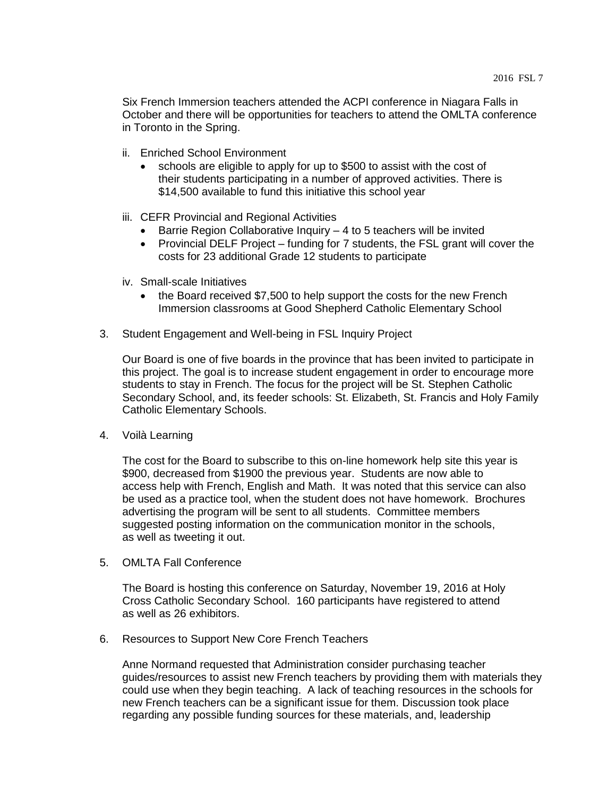Six French Immersion teachers attended the ACPI conference in Niagara Falls in October and there will be opportunities for teachers to attend the OMLTA conference in Toronto in the Spring.

- ii. Enriched School Environment
	- schools are eligible to apply for up to \$500 to assist with the cost of their students participating in a number of approved activities. There is \$14,500 available to fund this initiative this school year
- iii. CEFR Provincial and Regional Activities
	- $\bullet$  Barrie Region Collaborative Inquiry  $-4$  to 5 teachers will be invited
	- Provincial DELF Project funding for 7 students, the FSL grant will cover the costs for 23 additional Grade 12 students to participate
- iv. Small-scale Initiatives
	- the Board received \$7,500 to help support the costs for the new French Immersion classrooms at Good Shepherd Catholic Elementary School
- 3. Student Engagement and Well-being in FSL Inquiry Project

Our Board is one of five boards in the province that has been invited to participate in this project. The goal is to increase student engagement in order to encourage more students to stay in French. The focus for the project will be St. Stephen Catholic Secondary School, and, its feeder schools: St. Elizabeth, St. Francis and Holy Family Catholic Elementary Schools.

4. Voilà Learning

The cost for the Board to subscribe to this on-line homework help site this year is \$900, decreased from \$1900 the previous year. Students are now able to access help with French, English and Math. It was noted that this service can also be used as a practice tool, when the student does not have homework. Brochures advertising the program will be sent to all students. Committee members suggested posting information on the communication monitor in the schools, as well as tweeting it out.

5. OMLTA Fall Conference

The Board is hosting this conference on Saturday, November 19, 2016 at Holy Cross Catholic Secondary School. 160 participants have registered to attend as well as 26 exhibitors.

6. Resources to Support New Core French Teachers

Anne Normand requested that Administration consider purchasing teacher guides/resources to assist new French teachers by providing them with materials they could use when they begin teaching. A lack of teaching resources in the schools for new French teachers can be a significant issue for them. Discussion took place regarding any possible funding sources for these materials, and, leadership